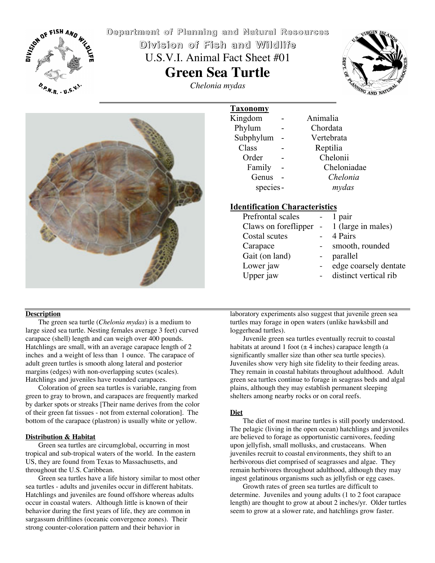

**Department Department of Planning Planning and Natural Natural Resources Resources Division Division of Fish and Wildlife Wildlife** U.S.V.I. Animal Fact Sheet #01 **Green Sea Turtle** *Chelonia mydas*





| <b>Taxonomy</b> |  |             |
|-----------------|--|-------------|
| Kingdom         |  | Animalia    |
| Phylum          |  | Chordata    |
| Subphylum       |  | Vertebrata  |
| Class           |  | Reptilia    |
| Order           |  | Chelonii    |
| Family          |  | Cheloniadae |
| Genus           |  | Chelonia    |
| species-        |  | mydas       |

# **Identification Characteristics**

- ◆ Prefrontal scales 1 pair
- Claws on foreflipper 1 (large in males) ◆ Costal scutes - 4 Pairs
- 
- -
- 
- 
- ◆ Carapace smooth, rounded<br>◆ Gait (on land) parallel
- ® Gait (on land) parallel
	-
- 
- Lower jaw edge coarsely dentate<br>Upper jaw distinct vertical rib distinct vertical rib

#### **Description**

The green sea turtle (*Chelonia mydas*) is a medium to large sized sea turtle. Nesting females average 3 feet) curved carapace (shell) length and can weigh over 400 pounds. Hatchlings are small, with an average carapace length of 2 inches and a weight of less than 1 ounce. The carapace of adult green turtles is smooth along lateral and posterior margins (edges) with non-overlapping scutes (scales). Hatchlings and juveniles have rounded carapaces.

Coloration of green sea turtles is variable, ranging from green to gray to brown, and carapaces are frequently marked by darker spots or streaks [Their name derives from the color of their green fat tissues - not from external coloration]. The bottom of the carapace (plastron) is usually white or yellow.

#### **Distribution & Habitat**

Green sea turtles are circumglobal, occurring in most tropical and sub-tropical waters of the world. In the eastern US, they are found from Texas to Massachusetts, and throughout the U.S. Caribbean.

Green sea turtles have a life history similar to most other sea turtles - adults and juveniles occur in different habitats. Hatchlings and juveniles are found offshore whereas adults occur in coastal waters. Although little is known of their behavior during the first years of life, they are common in sargassum driftlines (oceanic convergence zones). Their strong counter-coloration pattern and their behavior in

laboratory experiments also suggest that juvenile green sea turtles may forage in open waters (unlike hawksbill and loggerhead turtles).

Juvenile green sea turtles eventually recruit to coastal habitats at around 1 foot  $(\pm 4 \text{ inches})$  carapace length (a significantly smaller size than other sea turtle species). Juveniles show very high site fidelity to their feeding areas. They remain in coastal habitats throughout adulthood. Adult green sea turtles continue to forage in seagrass beds and algal plains, although they may establish permanent sleeping shelters among nearby rocks or on coral reefs.

## **Diet**

The diet of most marine turtles is still poorly understood. The pelagic (living in the open ocean) hatchlings and juveniles are believed to forage as opportunistic carnivores, feeding upon jellyfish, small mollusks, and crustaceans. When juveniles recruit to coastal environments, they shift to an herbivorous diet comprised of seagrasses and algae. They remain herbivores throughout adulthood, although they may ingest gelatinous organisms such as jellyfish or egg cases.

Growth rates of green sea turtles are difficult to determine. Juveniles and young adults (1 to 2 foot carapace length) are thought to grow at about 2 inches/yr. Older turtles seem to grow at a slower rate, and hatchlings grow faster.